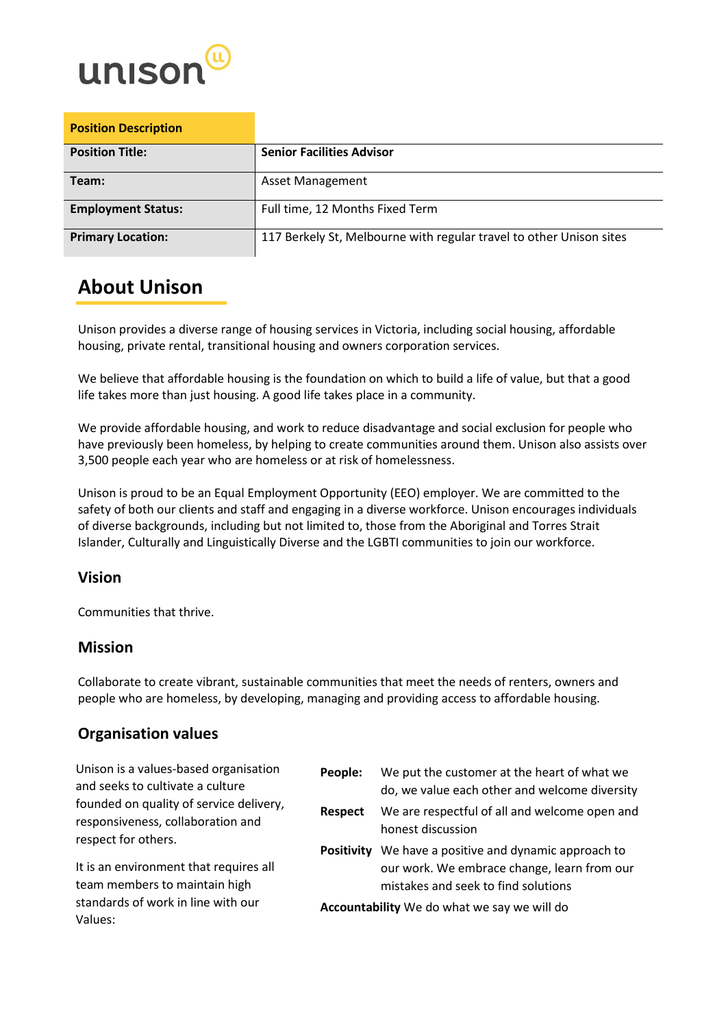

| <b>Position Description</b> |                                                                     |
|-----------------------------|---------------------------------------------------------------------|
| <b>Position Title:</b>      | <b>Senior Facilities Advisor</b>                                    |
| Team:                       | <b>Asset Management</b>                                             |
| <b>Employment Status:</b>   | Full time, 12 Months Fixed Term                                     |
| <b>Primary Location:</b>    | 117 Berkely St, Melbourne with regular travel to other Unison sites |

## **About Unison**

Unison provides a diverse range of housing services in Victoria, including social housing, affordable housing, private rental, transitional housing and owners corporation services.

We believe that affordable housing is the foundation on which to build a life of value, but that a good life takes more than just housing. A good life takes place in a community.

We provide affordable housing, and work to reduce disadvantage and social exclusion for people who have previously been homeless, by helping to create communities around them. Unison also assists over 3,500 people each year who are homeless or at risk of homelessness.

Unison is proud to be an Equal Employment Opportunity (EEO) employer. We are committed to the safety of both our clients and staff and engaging in a diverse workforce. Unison encourages individuals of diverse backgrounds, including but not limited to, those from the Aboriginal and Torres Strait Islander, Culturally and Linguistically Diverse and the LGBTI communities to join our workforce.

## **Vision**

Communities that thrive.

## **Mission**

Collaborate to create vibrant, sustainable communities that meet the needs of renters, owners and people who are homeless, by developing, managing and providing access to affordable housing.

## **Organisation values**

| Unison is a values-based organisation<br>and seeks to cultivate a culture                                     | People:           | We put the customer at the heart of what we<br>do, we value each other and welcome diversity                                                                                    |
|---------------------------------------------------------------------------------------------------------------|-------------------|---------------------------------------------------------------------------------------------------------------------------------------------------------------------------------|
| founded on quality of service delivery,<br>responsiveness, collaboration and<br>respect for others.           | Respect           | We are respectful of all and welcome open and<br>honest discussion                                                                                                              |
| It is an environment that requires all<br>team members to maintain high<br>standards of work in line with our | <b>Positivity</b> | We have a positive and dynamic approach to<br>our work. We embrace change, learn from our<br>mistakes and seek to find solutions<br>Accountability We do what we say we will do |
| Values:                                                                                                       |                   |                                                                                                                                                                                 |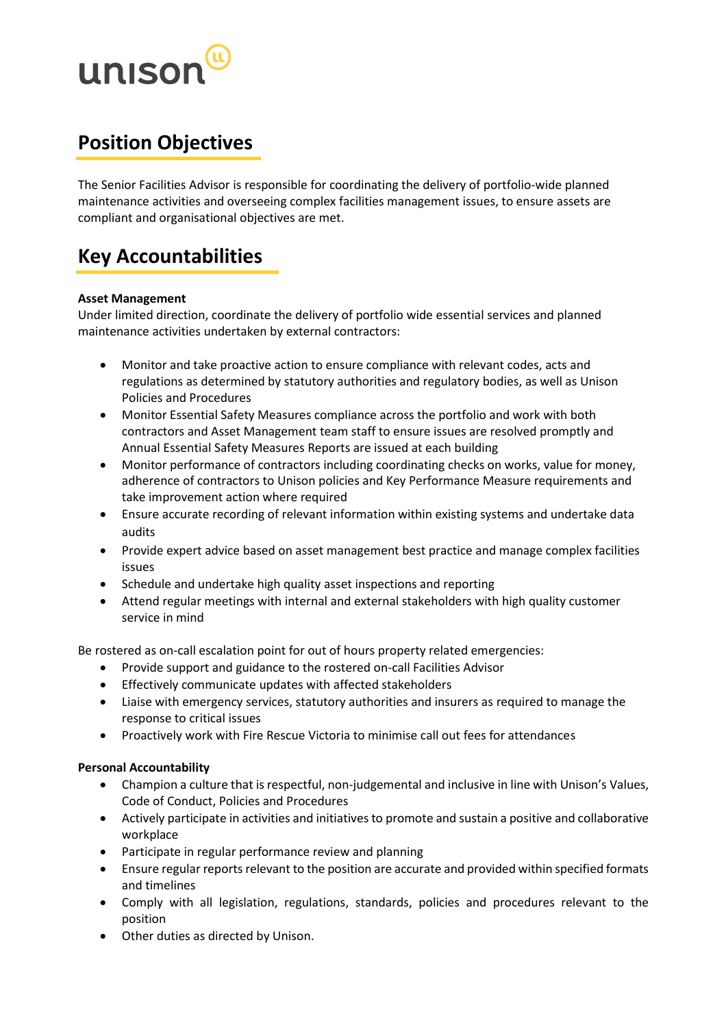

# **Position Objectives**

The Senior Facilities Advisor is responsible for coordinating the delivery of portfolio-wide planned maintenance activities and overseeing complex facilities management issues, to ensure assets are compliant and organisational objectives are met.

# **Key Accountabilities**

#### **Asset Management**

Under limited direction, coordinate the delivery of portfolio wide essential services and planned maintenance activities undertaken by external contractors:

- Monitor and take proactive action to ensure compliance with relevant codes, acts and regulations as determined by statutory authorities and regulatory bodies, as well as Unison Policies and Procedures
- Monitor Essential Safety Measures compliance across the portfolio and work with both contractors and Asset Management team staff to ensure issues are resolved promptly and Annual Essential Safety Measures Reports are issued at each building
- Monitor performance of contractors including coordinating checks on works, value for money, adherence of contractors to Unison policies and Key Performance Measure requirements and take improvement action where required
- Ensure accurate recording of relevant information within existing systems and undertake data audits
- Provide expert advice based on asset management best practice and manage complex facilities issues
- Schedule and undertake high quality asset inspections and reporting
- Attend regular meetings with internal and external stakeholders with high quality customer service in mind

Be rostered as on-call escalation point for out of hours property related emergencies:

- Provide support and guidance to the rostered on-call Facilities Advisor
- Effectively communicate updates with affected stakeholders
- Liaise with emergency services, statutory authorities and insurers as required to manage the response to critical issues
- Proactively work with Fire Rescue Victoria to minimise call out fees for attendances

#### **Personal Accountability**

- Champion a culture that is respectful, non-judgemental and inclusive in line with Unison's Values, Code of Conduct, Policies and Procedures
- Actively participate in activities and initiatives to promote and sustain a positive and collaborative workplace
- Participate in regular performance review and planning
- Ensure regular reports relevant to the position are accurate and provided within specified formats and timelines
- Comply with all legislation, regulations, standards, policies and procedures relevant to the position
- Other duties as directed by Unison.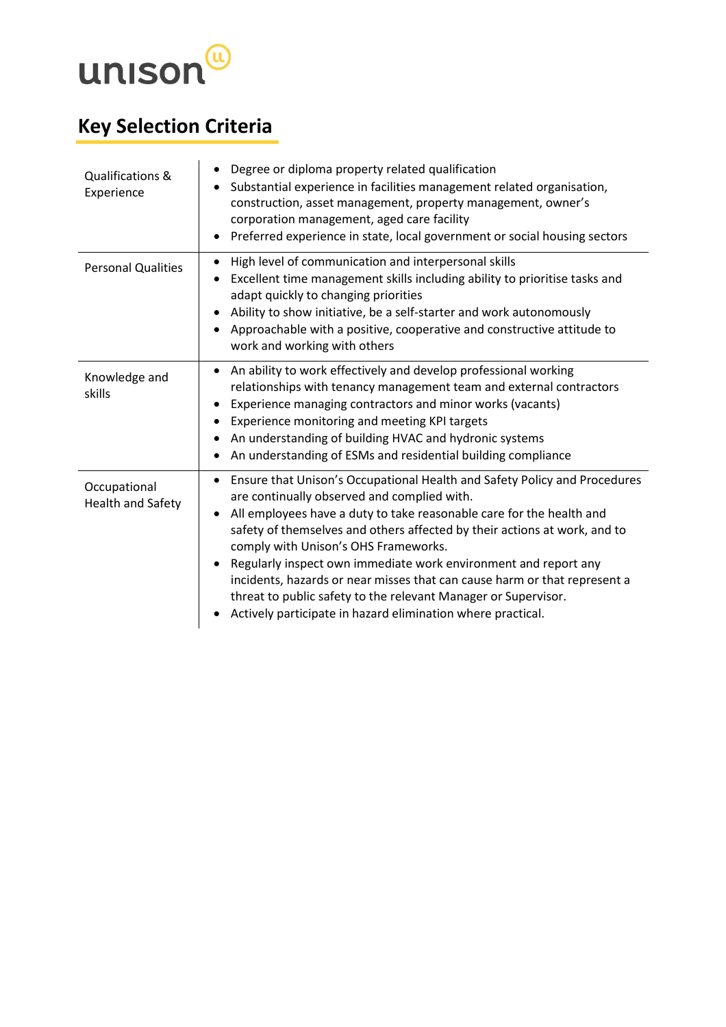

# **Key Selection Criteria**

| Qualifications &<br>Experience    | Degree or diploma property related qualification<br>٠<br>Substantial experience in facilities management related organisation,<br>construction, asset management, property management, owner's<br>corporation management, aged care facility<br>Preferred experience in state, local government or social housing sectors                                                                                                                                                                                                                                                                              |
|-----------------------------------|--------------------------------------------------------------------------------------------------------------------------------------------------------------------------------------------------------------------------------------------------------------------------------------------------------------------------------------------------------------------------------------------------------------------------------------------------------------------------------------------------------------------------------------------------------------------------------------------------------|
| <b>Personal Qualities</b>         | High level of communication and interpersonal skills<br>Excellent time management skills including ability to prioritise tasks and<br>adapt quickly to changing priorities<br>Ability to show initiative, be a self-starter and work autonomously<br>Approachable with a positive, cooperative and constructive attitude to<br>work and working with others                                                                                                                                                                                                                                            |
| Knowledge and<br>skills           | An ability to work effectively and develop professional working<br>relationships with tenancy management team and external contractors<br>Experience managing contractors and minor works (vacants)<br>Experience monitoring and meeting KPI targets<br>An understanding of building HVAC and hydronic systems<br>An understanding of ESMs and residential building compliance                                                                                                                                                                                                                         |
| Occupational<br>Health and Safety | Ensure that Unison's Occupational Health and Safety Policy and Procedures<br>are continually observed and complied with.<br>All employees have a duty to take reasonable care for the health and<br>safety of themselves and others affected by their actions at work, and to<br>comply with Unison's OHS Frameworks.<br>Regularly inspect own immediate work environment and report any<br>incidents, hazards or near misses that can cause harm or that represent a<br>threat to public safety to the relevant Manager or Supervisor.<br>Actively participate in hazard elimination where practical. |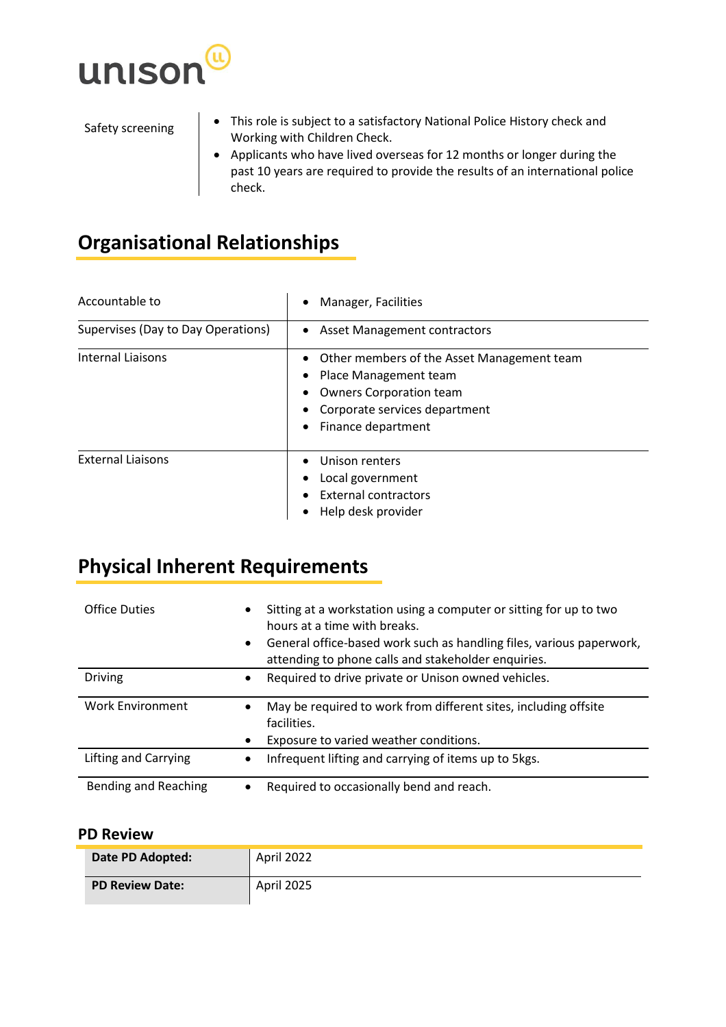

- Safety screening **•** This role is subject to a satisfactory National Police History check and Working with Children Check.
	- Applicants who have lived overseas for 12 months or longer during the past 10 years are required to provide the results of an international police check.

# **Organisational Relationships**

| Accountable to                     | Manager, Facilities                                                                                                                                          |
|------------------------------------|--------------------------------------------------------------------------------------------------------------------------------------------------------------|
| Supervises (Day to Day Operations) | <b>Asset Management contractors</b><br>$\bullet$                                                                                                             |
| <b>Internal Liaisons</b>           | Other members of the Asset Management team<br>Place Management team<br><b>Owners Corporation team</b><br>Corporate services department<br>Finance department |
| <b>External Liaisons</b>           | Unison renters<br>Local government<br><b>External contractors</b><br>Help desk provider                                                                      |

## **Physical Inherent Requirements**

| <b>Office Duties</b>    | ٠<br>٠ | Sitting at a workstation using a computer or sitting for up to two<br>hours at a time with breaks.<br>General office-based work such as handling files, various paperwork,<br>attending to phone calls and stakeholder enquiries. |
|-------------------------|--------|-----------------------------------------------------------------------------------------------------------------------------------------------------------------------------------------------------------------------------------|
| <b>Driving</b>          | ٠      | Required to drive private or Unison owned vehicles.                                                                                                                                                                               |
| <b>Work Environment</b> |        | May be required to work from different sites, including offsite<br>facilities.<br>Exposure to varied weather conditions.                                                                                                          |
| Lifting and Carrying    |        | Infrequent lifting and carrying of items up to 5kgs.                                                                                                                                                                              |
| Bending and Reaching    |        | Required to occasionally bend and reach.                                                                                                                                                                                          |

### **PD Review**

| Date PD Adopted:       | April 2022 |
|------------------------|------------|
| <b>PD Review Date:</b> | April 2025 |